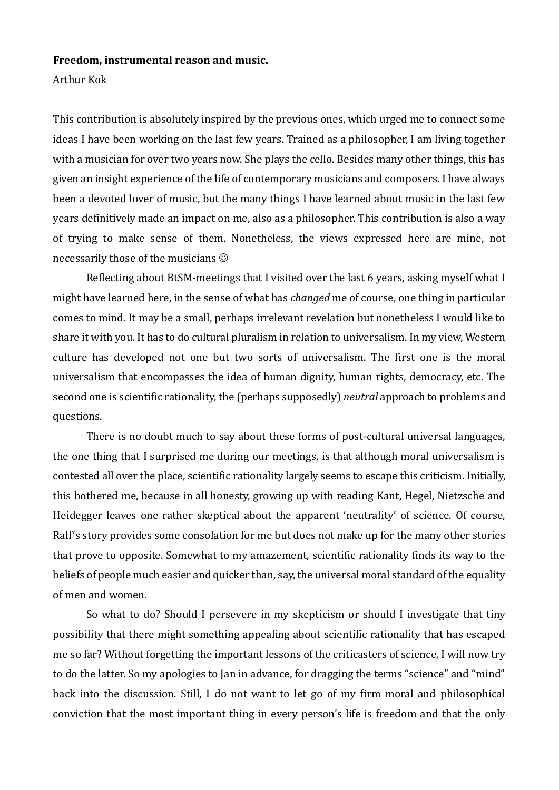## **Freedom, instrumental reason and music.**

## Arthur Kok

This contribution is absolutely inspired by the previous ones, which urged me to connect some ideas I have been working on the last few years. Trained as a philosopher, I am living together with a musician for over two years now. She plays the cello. Besides many other things, this has given an insight experience of the life of contemporary musicians and composers. I have always been a devoted lover of music, but the many things I have learned about music in the last few years definitively made an impact on me, also as a philosopher. This contribution is also a way of trying to make sense of them. Nonetheless, the views expressed here are mine, not necessarily those of the musicians  $\odot$ 

Reflecting about BtSM-meetings that I visited over the last 6 years, asking myself what I might have learned here, in the sense of what has *changed* me of course, one thing in particular comes to mind. It may be a small, perhaps irrelevant revelation but nonetheless I would like to share it with you. It has to do cultural pluralism in relation to universalism. In my view, Western culture has developed not one but two sorts of universalism. The first one is the moral universalism that encompasses the idea of human dignity, human rights, democracy, etc. The second one is scientific rationality, the (perhaps supposedly) *neutral* approach to problems and questions.

There is no doubt much to say about these forms of post-cultural universal languages, the one thing that I surprised me during our meetings, is that although moral universalism is contested all over the place, scientific rationality largely seems to escape this criticism. Initially, this bothered me, because in all honesty, growing up with reading Kant, Hegel, Nietzsche and Heidegger leaves one rather skeptical about the apparent 'neutrality' of science. Of course, Ralf's story provides some consolation for me but does not make up for the many other stories that prove to opposite. Somewhat to my amazement, scientific rationality finds its way to the beliefs of people much easier and quicker than, say, the universal moral standard of the equality of men and women.

So what to do? Should I persevere in my skepticism or should I investigate that tiny possibility that there might something appealing about scientific rationality that has escaped me so far? Without forgetting the important lessons of the criticasters of science, I will now try to do the latter. So my apologies to Jan in advance, for dragging the terms "science" and "mind" back into the discussion. Still, I do not want to let go of my firm moral and philosophical conviction that the most important thing in every person's life is freedom and that the only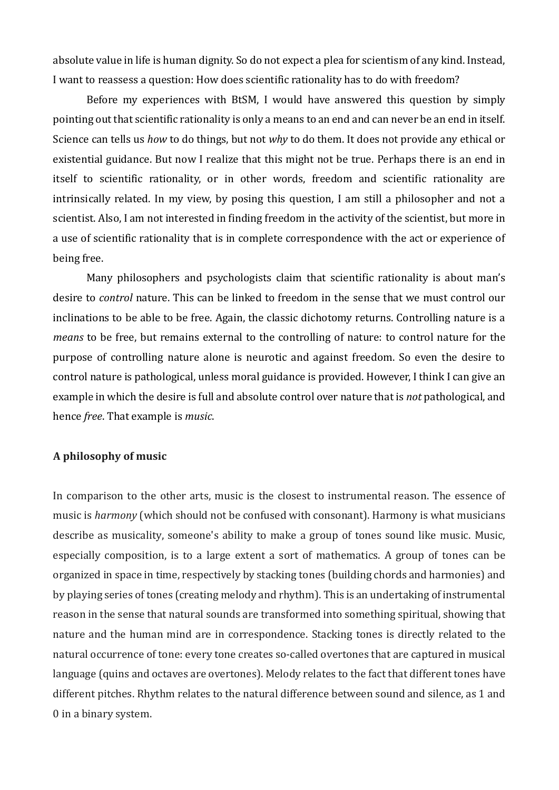absolute value in life is human dignity. So do not expect a plea for scientism of any kind. Instead, I want to reassess a question: How does scientific rationality has to do with freedom?

Before my experiences with BtSM, I would have answered this question by simply pointing out that scientific rationality is only a means to an end and can never be an end in itself. Science can tells us *how* to do things, but not *why* to do them. It does not provide any ethical or existential guidance. But now I realize that this might not be true. Perhaps there is an end in itself to scientific rationality, or in other words, freedom and scientific rationality are intrinsically related. In my view, by posing this question, I am still a philosopher and not a scientist. Also, I am not interested in finding freedom in the activity of the scientist, but more in a use of scientific rationality that is in complete correspondence with the act or experience of being free.

Many philosophers and psychologists claim that scientific rationality is about man's desire to *control* nature. This can be linked to freedom in the sense that we must control our inclinations to be able to be free. Again, the classic dichotomy returns. Controlling nature is a *means* to be free, but remains external to the controlling of nature: to control nature for the purpose of controlling nature alone is neurotic and against freedom. So even the desire to control nature is pathological, unless moral guidance is provided. However, I think I can give an example in which the desire is full and absolute control over nature that is *not* pathological, and hence *free*. That example is *music*.

## **A philosophy of music**

In comparison to the other arts, music is the closest to instrumental reason. The essence of music is *harmony* (which should not be confused with consonant). Harmony is what musicians describe as musicality, someone's ability to make a group of tones sound like music. Music, especially composition, is to a large extent a sort of mathematics. A group of tones can be organized in space in time, respectively by stacking tones (building chords and harmonies) and by playing series of tones (creating melody and rhythm). This is an undertaking of instrumental reason in the sense that natural sounds are transformed into something spiritual, showing that nature and the human mind are in correspondence. Stacking tones is directly related to the natural occurrence of tone: every tone creates so-called overtones that are captured in musical language (quins and octaves are overtones). Melody relates to the fact that different tones have different pitches. Rhythm relates to the natural difference between sound and silence, as 1 and 0 in a binary system.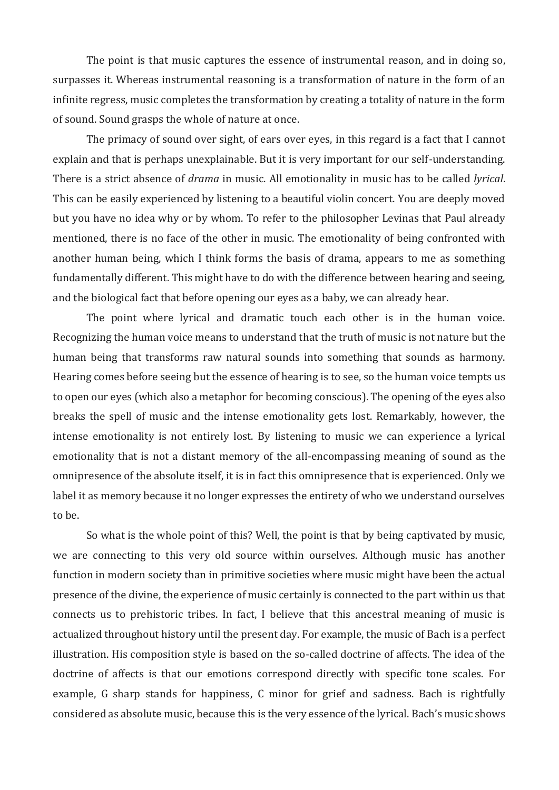The point is that music captures the essence of instrumental reason, and in doing so, surpasses it. Whereas instrumental reasoning is a transformation of nature in the form of an infinite regress, music completes the transformation by creating a totality of nature in the form of sound. Sound grasps the whole of nature at once.

The primacy of sound over sight, of ears over eyes, in this regard is a fact that I cannot explain and that is perhaps unexplainable. But it is very important for our self-understanding. There is a strict absence of *drama* in music. All emotionality in music has to be called *lyrical*. This can be easily experienced by listening to a beautiful violin concert. You are deeply moved but you have no idea why or by whom. To refer to the philosopher Levinas that Paul already mentioned, there is no face of the other in music. The emotionality of being confronted with another human being, which I think forms the basis of drama, appears to me as something fundamentally different. This might have to do with the difference between hearing and seeing, and the biological fact that before opening our eyes as a baby, we can already hear.

The point where lyrical and dramatic touch each other is in the human voice. Recognizing the human voice means to understand that the truth of music is not nature but the human being that transforms raw natural sounds into something that sounds as harmony. Hearing comes before seeing but the essence of hearing is to see, so the human voice tempts us to open our eyes (which also a metaphor for becoming conscious). The opening of the eyes also breaks the spell of music and the intense emotionality gets lost. Remarkably, however, the intense emotionality is not entirely lost. By listening to music we can experience a lyrical emotionality that is not a distant memory of the all-encompassing meaning of sound as the omnipresence of the absolute itself, it is in fact this omnipresence that is experienced. Only we label it as memory because it no longer expresses the entirety of who we understand ourselves to be.

So what is the whole point of this? Well, the point is that by being captivated by music, we are connecting to this very old source within ourselves. Although music has another function in modern society than in primitive societies where music might have been the actual presence of the divine, the experience of music certainly is connected to the part within us that connects us to prehistoric tribes. In fact, I believe that this ancestral meaning of music is actualized throughout history until the present day. For example, the music of Bach is a perfect illustration. His composition style is based on the so-called doctrine of affects. The idea of the doctrine of affects is that our emotions correspond directly with specific tone scales. For example, G sharp stands for happiness, C minor for grief and sadness. Bach is rightfully considered as absolute music, because this is the very essence of the lyrical. Bach's music shows